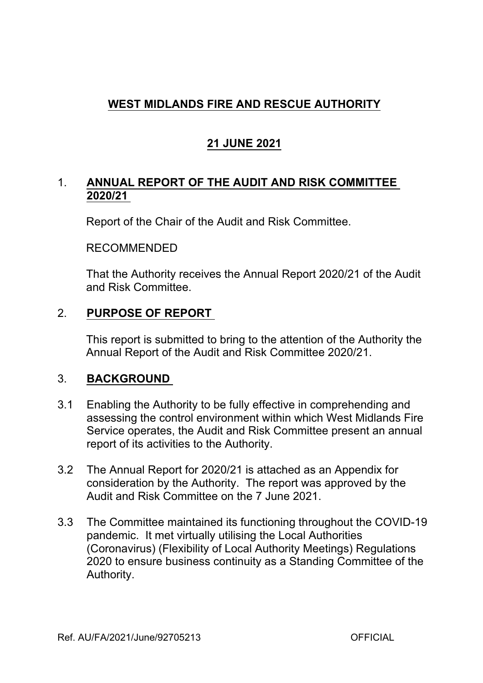# **WEST MIDLANDS FIRE AND RESCUE AUTHORITY**

# **21 JUNE 2021**

## 1. **ANNUAL REPORT OF THE AUDIT AND RISK COMMITTEE 2020/21**

Report of the Chair of the Audit and Risk Committee.

### RECOMMENDED

That the Authority receives the Annual Report 2020/21 of the Audit and Risk Committee.

## 2. **PURPOSE OF REPORT**

This report is submitted to bring to the attention of the Authority the Annual Report of the Audit and Risk Committee 2020/21.

## 3. **BACKGROUND**

- 3.1 Enabling the Authority to be fully effective in comprehending and assessing the control environment within which West Midlands Fire Service operates, the Audit and Risk Committee present an annual report of its activities to the Authority.
- 3.2 The Annual Report for 2020/21 is attached as an Appendix for consideration by the Authority. The report was approved by the Audit and Risk Committee on the 7 June 2021.
- 3.3 The Committee maintained its functioning throughout the COVID-19 pandemic. It met virtually utilising the Local Authorities (Coronavirus) (Flexibility of Local Authority Meetings) Regulations 2020 to ensure business continuity as a Standing Committee of the Authority.